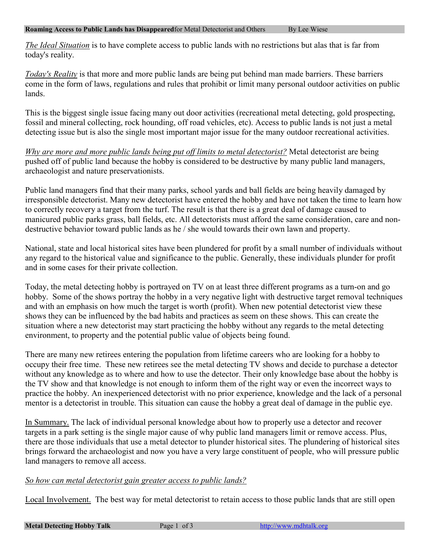*The Ideal Situation* is to have complete access to public lands with no restrictions but alas that is far from today's reality.

*Today's Reality* is that more and more public lands are being put behind man made barriers. These barriers come in the form of laws, regulations and rules that prohibit or limit many personal outdoor activities on public lands.

This is the biggest single issue facing many out door activities (recreational metal detecting, gold prospecting, fossil and mineral collecting, rock hounding, off road vehicles, etc). Access to public lands is not just a metal detecting issue but is also the single most important major issue for the many outdoor recreational activities.

*Why are more and more public lands being put off limits to metal detectorist?* Metal detectorist are being pushed off of public land because the hobby is considered to be destructive by many public land managers, archaeologist and nature preservationists.

Public land managers find that their many parks, school yards and ball fields are being heavily damaged by irresponsible detectorist. Many new detectorist have entered the hobby and have not taken the time to learn how to correctly recovery a target from the turf. The result is that there is a great deal of damage caused to manicured public parks grass, ball fields, etc. All detectorists must afford the same consideration, care and nondestructive behavior toward public lands as he / she would towards their own lawn and property.

National, state and local historical sites have been plundered for profit by a small number of individuals without any regard to the historical value and significance to the public. Generally, these individuals plunder for profit and in some cases for their private collection.

Today, the metal detecting hobby is portrayed on TV on at least three different programs as a turn-on and go hobby. Some of the shows portray the hobby in a very negative light with destructive target removal techniques and with an emphasis on how much the target is worth (profit). When new potential detectorist view these shows they can be influenced by the bad habits and practices as seem on these shows. This can create the situation where a new detectorist may start practicing the hobby without any regards to the metal detecting environment, to property and the potential public value of objects being found.

There are many new retirees entering the population from lifetime careers who are looking for a hobby to occupy their free time. These new retirees see the metal detecting TV shows and decide to purchase a detector without any knowledge as to where and how to use the detector. Their only knowledge base about the hobby is the TV show and that knowledge is not enough to inform them of the right way or even the incorrect ways to practice the hobby. An inexperienced detectorist with no prior experience, knowledge and the lack of a personal mentor is a detectorist in trouble. This situation can cause the hobby a great deal of damage in the public eye.

In Summary. The lack of individual personal knowledge about how to properly use a detector and recover targets in a park setting is the single major cause of why public land managers limit or remove access. Plus, there are those individuals that use a metal detector to plunder historical sites. The plundering of historical sites brings forward the archaeologist and now you have a very large constituent of people, who will pressure public land managers to remove all access.

## *So how can metal detectorist gain greater access to public lands?*

Local Involvement. The best way for metal detectorist to retain access to those public lands that are still open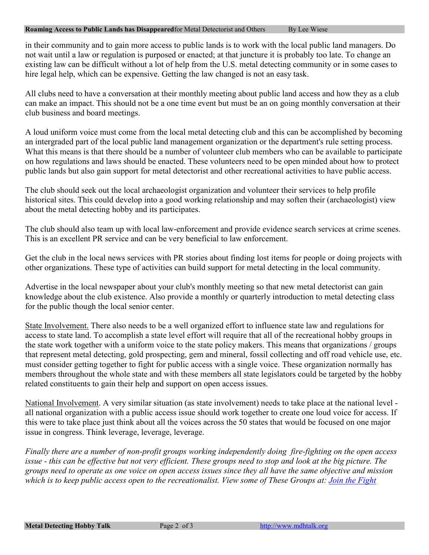## **Roaming Access to Public Lands has Disappeared** for Metal Detectorist and Others By Lee Wiese

in their community and to gain more access to public lands is to work with the local public land managers. Do not wait until a law or regulation is purposed or enacted; at that juncture it is probably too late. To change an existing law can be difficult without a lot of help from the U.S. metal detecting community or in some cases to hire legal help, which can be expensive. Getting the law changed is not an easy task.

All clubs need to have a conversation at their monthly meeting about public land access and how they as a club can make an impact. This should not be a one time event but must be an on going monthly conversation at their club business and board meetings.

A loud uniform voice must come from the local metal detecting club and this can be accomplished by becoming an intergraded part of the local public land management organization or the department's rule setting process. What this means is that there should be a number of volunteer club members who can be available to participate on how regulations and laws should be enacted. These volunteers need to be open minded about how to protect public lands but also gain support for metal detectorist and other recreational activities to have public access.

The club should seek out the local archaeologist organization and volunteer their services to help profile historical sites. This could develop into a good working relationship and may soften their (archaeologist) view about the metal detecting hobby and its participates.

The club should also team up with local law-enforcement and provide evidence search services at crime scenes. This is an excellent PR service and can be very beneficial to law enforcement.

Get the club in the local news services with PR stories about finding lost items for people or doing projects with other organizations. These type of activities can build support for metal detecting in the local community.

Advertise in the local newspaper about your club's monthly meeting so that new metal detectorist can gain knowledge about the club existence. Also provide a monthly or quarterly introduction to metal detecting class for the public though the local senior center.

State Involvement. There also needs to be a well organized effort to influence state law and regulations for access to state land. To accomplish a state level effort will require that all of the recreational hobby groups in the state work together with a uniform voice to the state policy makers. This means that organizations / groups that represent metal detecting, gold prospecting, gem and mineral, fossil collecting and off road vehicle use, etc. must consider getting together to fight for public access with a single voice. These organization normally has members throughout the whole state and with these members all state legislators could be targeted by the hobby related constituents to gain their help and support on open access issues.

National Involvement. A very similar situation (as state involvement) needs to take place at the national level all national organization with a public access issue should work together to create one loud voice for access. If this were to take place just think about all the voices across the 50 states that would be focused on one major issue in congress. Think leverage, leverage, leverage.

*Finally there are a number of non-profit groups working independently doing fire-fighting on the open access issue - this can be effective but not very efficient. These groups need to stop and look at the big picture. The groups need to operate as one voice on open access issues since they all have the same objective and mission which is to keep public access open to the recreationalist. View some of These Groups at: Join the Fight*